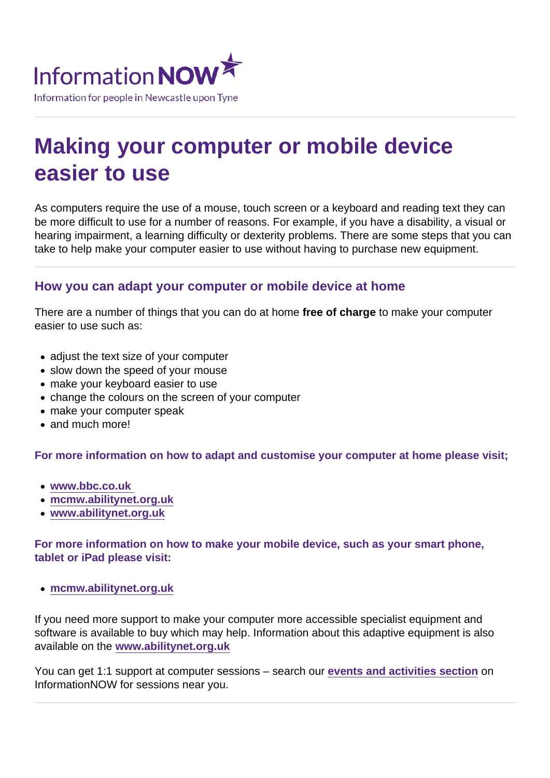# Making your computer or mobile device easier to use

As computers require the use of a mouse, touch screen or a keyboard and reading text they can be more difficult to use for a number of reasons. For example, if you have a disability, a visual or hearing impairment, a learning difficulty or dexterity problems. There are some steps that you can take to help make your computer easier to use without having to purchase new equipment.

#### How you can adapt your computer or mobile device at home

There are a number of things that you can do at home free of charge to make your computer easier to use such as:

- adjust the text size of your computer
- slow down the speed of your mouse
- make your keyboard easier to use
- change the colours on the screen of your computer
- make your computer speak
- and much more!

For more information on how to adapt and customise your computer at home please visit;

- [www.bbc.co.uk](http://www.bbc.co.uk/accessibility/guides/)
- [mcmw.abilitynet.org.uk](https://mcmw.abilitynet.org.uk/)
- [www.abilitynet.org.uk](https://www.abilitynet.org.uk/)

For more information on how to make your mobile device, such as your smart phone, tablet or iPad please visit:

[mcmw.abilitynet.org.uk](https://mcmw.abilitynet.org.uk/)

If you need more support to make your computer more accessible specialist equipment and software is available to buy which may help. Information about this adaptive equipment is also available on the [www.abilitynet.org.uk](http://www.abilitynet.org.uk)

You can get 1:1 support at computer sessions – search our [events and activities section](https://www.informationnow.org.uk/events-activities/your-search-results/?sString=&cat=computers&loc=&org=&day=) on InformationNOW for sessions near you.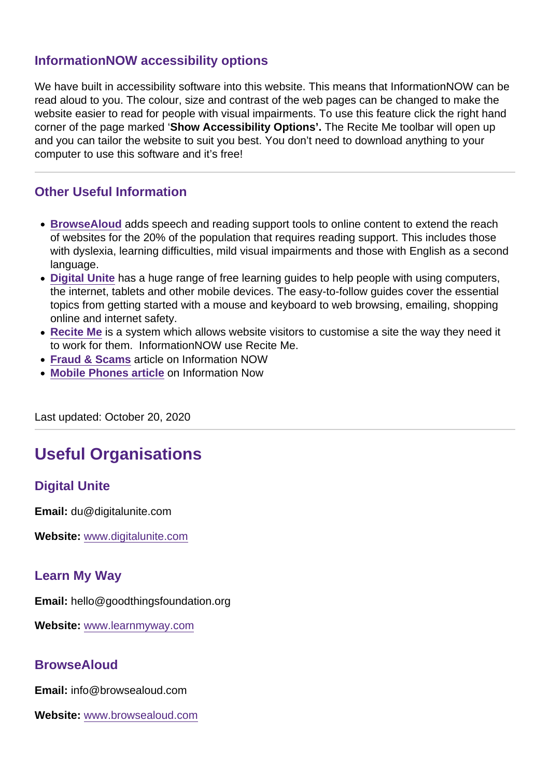#### InformationNOW accessibility options

We have built in accessibility software into this website. This means that InformationNOW can be read aloud to you. The colour, size and contrast of the web pages can be changed to make the website easier to read for people with visual impairments. To use this feature click the right hand corner of the page marked 'Show Accessibility Options'. The Recite Me toolbar will open up and you can tailor the website to suit you best. You don't need to download anything to your computer to use this software and it's free!

#### Other Useful Information

- [BrowseAloud](https://www.informationnow.org.uk/organisation/browsealoud/) adds speech and reading support tools to online content to extend the reach of websites for the 20% of the population that requires reading support. This includes those with dyslexia, learning difficulties, mild visual impairments and those with English as a second language.
- [Digital Unite](https://www.informationnow.org.uk/organisation/digital-unite/) has a huge range of free learning guides to help people with using computers, the internet, tablets and other mobile devices. The easy-to-follow guides cover the essential topics from getting started with a mouse and keyboard to web browsing, emailing, shopping online and internet safety.
- [Recite Me](https://www.informationnow.org.uk/organisation/recite-me/) is a system which allows website visitors to customise a site the way they need it to work for them. InformationNOW use Recite Me.
- [Fraud & Scams](https://www.informationnow.org.uk/article/fraud-and-scams/) article on Information NOW
- [Mobile Phones article](https://www.informationnow.org.uk/resources/articles/581) on Information Now

Last updated: October 20, 2020

## Useful Organisations

#### Digital Unite

Email: du@digitalunite.com

Website: [www.digitalunite.com](/var/www/vhosts/informationnow.org.uk/httpdocs/wp-content/themes/infonow/pdf/www.digitalunite.com)

#### Learn My Way

Email: hello@goodthingsfoundation.org

Website: [www.learnmyway.com](/var/www/vhosts/informationnow.org.uk/httpdocs/wp-content/themes/infonow/pdf/www.learnmyway.com)

#### **BrowseAloud**

Email: info@browsealoud.com

Website: [www.browsealoud.com](/var/www/vhosts/informationnow.org.uk/httpdocs/wp-content/themes/infonow/pdf/www.browsealoud.com)